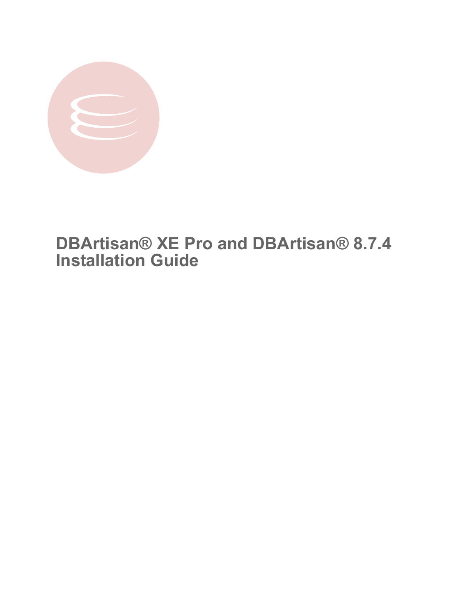

# **DBArtisan® XE Pro and DBArtisan® 8.7.4 Installation Guide**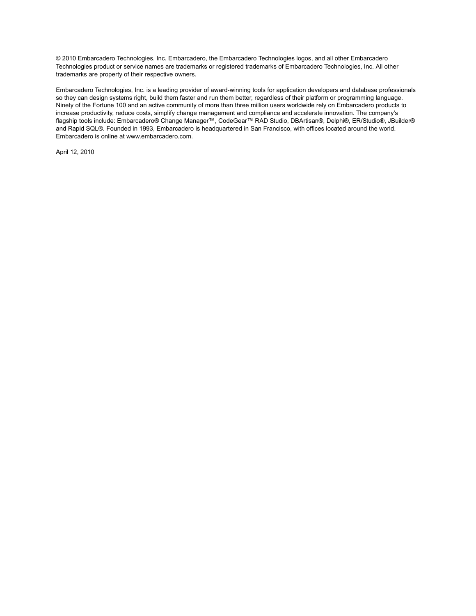© 2010 Embarcadero Technologies, Inc. Embarcadero, the Embarcadero Technologies logos, and all other Embarcadero Technologies product or service names are trademarks or registered trademarks of Embarcadero Technologies, Inc. All other trademarks are property of their respective owners.

Embarcadero Technologies, Inc. is a leading provider of award-winning tools for application developers and database professionals so they can design systems right, build them faster and run them better, regardless of their platform or programming language. Ninety of the Fortune 100 and an active community of more than three million users worldwide rely on Embarcadero products to increase productivity, reduce costs, simplify change management and compliance and accelerate innovation. The company's flagship tools include: Embarcadero® Change Manager™, CodeGear™ RAD Studio, DBArtisan®, Delphi®, ER/Studio®, JBuilder® and Rapid SQL®. Founded in 1993, Embarcadero is headquartered in San Francisco, with offices located around the world. Embarcadero is online at www.embarcadero.com.

April 12, 2010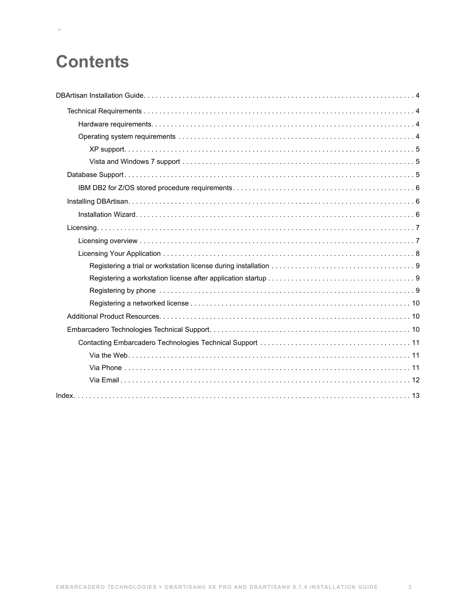# **Contents**

 **>**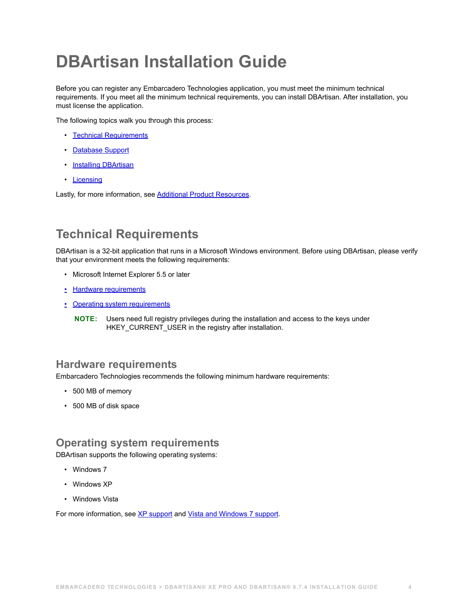# <span id="page-3-0"></span>**DBArtisan Installation Guide**

Before you can register any Embarcadero Technologies application, you must meet the minimum technical requirements. If you meet all the minimum technical requirements, you can install DBArtisan. After installation, you must license the application.

The following topics walk you through this process:

- [Technical Requirements](#page-3-1)
- [Database Support](#page-4-2)
- [Installing DBArtisan](#page-5-1)
- <span id="page-3-4"></span>• [Licensing](#page-6-0)

Lastly, for more information, see [Additional Product Resources.](#page-9-1)

# <span id="page-3-1"></span>**Technical Requirements**

DBArtisan is a 32-bit application that runs in a Microsoft Windows environment. Before using DBArtisan, please verify that your environment meets the following requirements:

- Microsoft Internet Explorer 5.5 or later
- [Hardware requirements](#page-3-2)
- [Operating system requirements](#page-3-3)
	- **NOTE:** Users need full registry privileges during the installation and access to the keys under HKEY\_CURRENT\_USER in the registry after installation.

# <span id="page-3-2"></span>**Hardware requirements**

Embarcadero Technologies recommends the following minimum hardware requirements:

- <span id="page-3-5"></span>• 500 MB of memory
- <span id="page-3-6"></span>• 500 MB of disk space

# <span id="page-3-3"></span>**Operating system requirements**

DBArtisan supports the following operating systems:

- Windows 7
- Windows XP
- Windows Vista

For more information, see [XP support](#page-4-0) and [Vista and Windows 7 support](#page-4-1).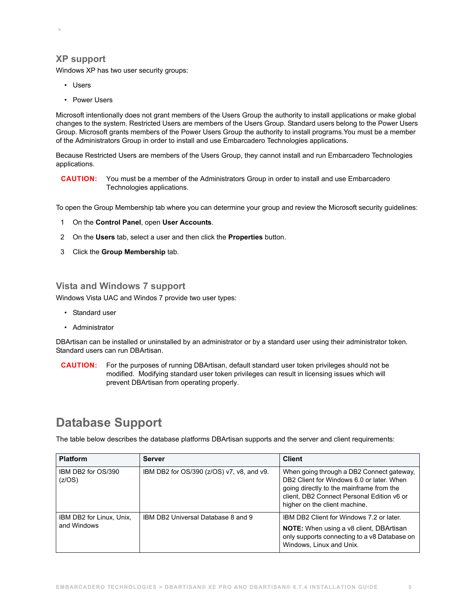## <span id="page-4-0"></span>**XP support**

 **>** 

Windows XP has two user security groups:

- Users
- Power Users

Microsoft intentionally does not grant members of the Users Group the authority to install applications or make global changes to the system. Restricted Users are members of the Users Group. Standard users belong to the Power Users Group. Microsoft grants members of the Power Users Group the authority to install programs.You must be a member of the Administrators Group in order to install and use Embarcadero Technologies applications.

Because Restricted Users are members of the Users Group, they cannot install and run Embarcadero Technologies applications.

**CAUTION:** You must be a member of the Administrators Group in order to install and use Embarcadero Technologies applications.

To open the Group Membership tab where you can determine your group and review the Microsoft security guidelines:

- 1 On the **Control Panel**, open **User Accounts**.
- 2 On the **Users** tab, select a user and then click the **Properties** button.
- 3 Click the **Group Membership** tab.

### <span id="page-4-1"></span>**Vista and Windows 7 support**

Windows Vista UAC and Windos 7 provide two user types:

- Standard user
- Administrator

DBArtisan can be installed or uninstalled by an administrator or by a standard user using their administrator token. Standard users can run DBArtisan.

**CAUTION:** For the purposes of running DBArtisan, default standard user token privileges should not be modified. Modifying standard user token privileges can result in licensing issues which will prevent DBArtisan from operating properly.

# <span id="page-4-3"></span><span id="page-4-2"></span>**Database Support**

The table below describes the database platforms DBArtisan supports and the server and client requirements:

| <b>Platform</b>                         | Server                                    | <b>Client</b>                                                                                                                                                                                                     |
|-----------------------------------------|-------------------------------------------|-------------------------------------------------------------------------------------------------------------------------------------------------------------------------------------------------------------------|
| IBM DB2 for OS/390<br>(z/OS)            | IBM DB2 for OS/390 (z/OS) v7, v8, and v9. | When going through a DB2 Connect gateway,<br>DB2 Client for Windows 6.0 or later. When<br>going directly to the mainframe from the<br>client, DB2 Connect Personal Edition v6 or<br>higher on the client machine. |
| IBM DB2 for Linux, Unix,<br>and Windows | IBM DB2 Universal Database 8 and 9        | IBM DB2 Client for Windows 7.2 or later.<br><b>NOTE:</b> When using a v8 client, DBArtisan<br>only supports connecting to a v8 Database on<br>Windows, Linux and Unix.                                            |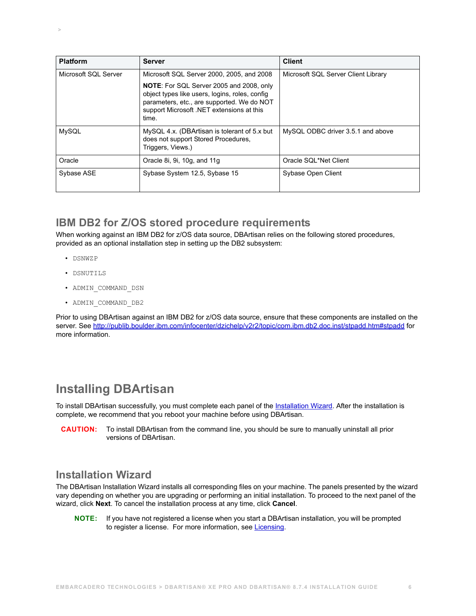| <b>Platform</b>      | Server                                                                                                                                                                                                | <b>Client</b>                       |
|----------------------|-------------------------------------------------------------------------------------------------------------------------------------------------------------------------------------------------------|-------------------------------------|
| Microsoft SQL Server | Microsoft SQL Server 2000, 2005, and 2008                                                                                                                                                             | Microsoft SQL Server Client Library |
|                      | <b>NOTE:</b> For SQL Server 2005 and 2008, only<br>object types like users, logins, roles, config<br>parameters, etc., are supported. We do NOT<br>support Microsoft .NET extensions at this<br>time. |                                     |
| <b>MySQL</b>         | MySQL 4.x. (DBArtisan is tolerant of 5.x but<br>does not support Stored Procedures,<br>Triggers, Views.)                                                                                              | MySQL ODBC driver 3.5.1 and above   |
| Oracle               | Oracle 8i, 9i, 10g, and 11g                                                                                                                                                                           | Oracle SQL*Net Client               |
| Sybase ASE           | Sybase System 12.5, Sybase 15                                                                                                                                                                         | Sybase Open Client                  |

# <span id="page-5-0"></span>**IBM DB2 for Z/OS stored procedure requirements**

When working against an IBM DB2 for z/OS data source, DBArtisan relies on the following stored procedures, provided as an optional installation step in setting up the DB2 subsystem:

• DSNWZP

 **>** 

- DSNUTILS
- ADMIN\_COMMAND\_DSN
- ADMIN\_COMMAND\_DB2

Prior to using DBArtisan against an IBM DB2 for z/OS data source, ensure that these components are installed on the server. See [http://publib.boulder.ibm.com/infocenter/dzichelp/v2r2/topic/com.ibm.db2.doc.inst/stpadd.htm#stpadd](http://publib.boulder.ibm.com/infocenter/dzichelp/v2r2/index.jsp?topic=/com.ibm.db2.doc.inst/stpadd.htm) for more information.

# <span id="page-5-3"></span><span id="page-5-1"></span>**Installing DBArtisan**

To install DBArtisan successfully, you must complete each panel of the *Installation Wizard*. After the installation is complete, we recommend that you reboot your machine before using DBArtisan.

**CAUTION:** To install DBArtisan from the command line, you should be sure to manually uninstall all prior versions of DBArtisan.

# <span id="page-5-2"></span>**Installation Wizard**

The DBArtisan Installation Wizard installs all corresponding files on your machine. The panels presented by the wizard vary depending on whether you are upgrading or performing an initial installation. To proceed to the next panel of the wizard, click **Next**. To cancel the installation process at any time, click **Cancel**.

**NOTE:** If you have not registered a license when you start a DBArtisan installation, you will be prompted to register a license. For more information, see [Licensing.](#page-6-0)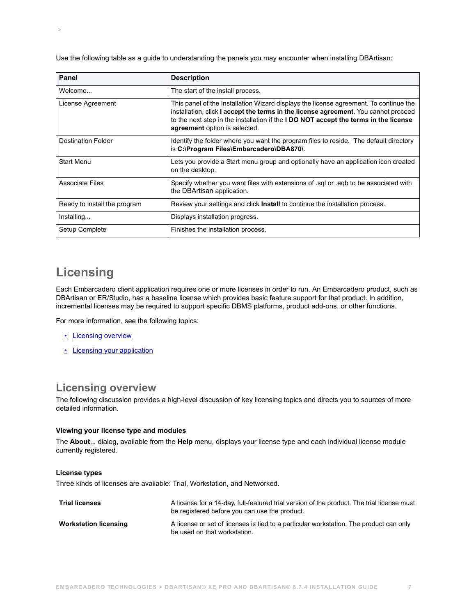Use the following table as a guide to understanding the panels you may encounter when installing DBArtisan:

| Panel                        | <b>Description</b>                                                                                                                                                                                                                                                                                           |
|------------------------------|--------------------------------------------------------------------------------------------------------------------------------------------------------------------------------------------------------------------------------------------------------------------------------------------------------------|
| Welcome                      | The start of the install process.                                                                                                                                                                                                                                                                            |
| License Agreement            | This panel of the Installation Wizard displays the license agreement. To continue the<br>installation, click I accept the terms in the license agreement. You cannot proceed<br>to the next step in the installation if the <b>I DO NOT accept the terms in the license</b><br>agreement option is selected. |
| <b>Destination Folder</b>    | Identify the folder where you want the program files to reside. The default directory<br>is C:\Program Files\Embarcadero\DBA870\.                                                                                                                                                                            |
| <b>Start Menu</b>            | Lets you provide a Start menu group and optionally have an application icon created<br>on the desktop.                                                                                                                                                                                                       |
| <b>Associate Files</b>       | Specify whether you want files with extensions of sql or eqb to be associated with<br>the DBArtisan application.                                                                                                                                                                                             |
| Ready to install the program | Review your settings and click Install to continue the installation process.                                                                                                                                                                                                                                 |
| Installing                   | Displays installation progress.                                                                                                                                                                                                                                                                              |
| Setup Complete               | Finishes the installation process.                                                                                                                                                                                                                                                                           |

# <span id="page-6-0"></span>**Licensing**

 **>** 

Each Embarcadero client application requires one or more licenses in order to run. An Embarcadero product, such as DBArtisan or ER/Studio, has a baseline license which provides basic feature support for that product. In addition, incremental licenses may be required to support specific DBMS platforms, product add-ons, or other functions.

For more information, see the following topics:

- [Licensing overview](#page-6-1)
- [Licensing your application](#page-7-0)

# <span id="page-6-1"></span>**Licensing overview**

The following discussion provides a high-level discussion of key licensing topics and directs you to sources of more detailed information.

#### **Viewing your license type and modules**

The **About**... dialog, available from the **Help** menu, displays your license type and each individual license module currently registered.

#### **License types**

Three kinds of licenses are available: Trial, Workstation, and Networked.

| <b>Trial licenses</b>        | A license for a 14-day, full-featured trial version of the product. The trial license must<br>be registered before you can use the product. |
|------------------------------|---------------------------------------------------------------------------------------------------------------------------------------------|
| <b>Workstation licensing</b> | A license or set of licenses is tied to a particular workstation. The product can only<br>be used on that workstation.                      |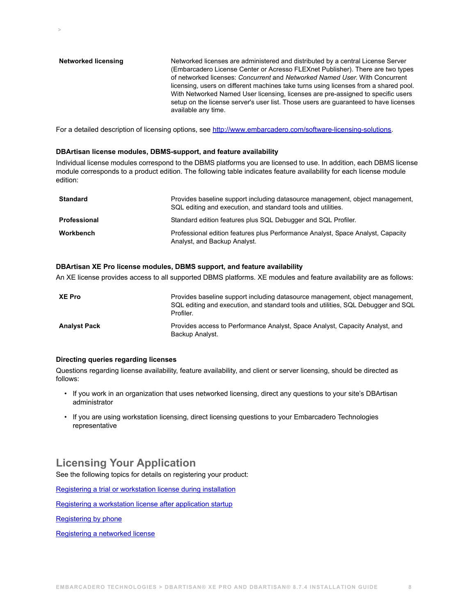**Networked licensing** Networked licenses are administered and distributed by a central License Server (Embarcadero License Center or Acresso FLEXnet Publisher). There are two types of networked licenses: *Concurrent* and *Networked Named User*. With Concurrent licensing, users on different machines take turns using licenses from a shared pool. With Networked Named User licensing, licenses are pre-assigned to specific users setup on the license server's user list. Those users are guaranteed to have licenses available any time.

For a detailed description of licensing options, see <http://www.embarcadero.com/software-licensing-solutions>.

#### **DBArtisan license modules, DBMS-support, and feature availability**

Individual license modules correspond to the DBMS platforms you are licensed to use. In addition, each DBMS license module corresponds to a product edition. The following table indicates feature availability for each license module edition:

| <b>Standard</b>     | Provides baseline support including datasource management, object management,<br>SQL editing and execution, and standard tools and utilities. |
|---------------------|-----------------------------------------------------------------------------------------------------------------------------------------------|
| <b>Professional</b> | Standard edition features plus SQL Debugger and SQL Profiler.                                                                                 |
| Workbench           | Professional edition features plus Performance Analyst, Space Analyst, Capacity<br>Analyst, and Backup Analyst.                               |

#### **DBArtisan XE Pro license modules, DBMS support, and feature availability**

An XE license provides access to all supported DBMS platforms. XE modules and feature availability are as follows:

| <b>XE Pro</b>       | Provides baseline support including datasource management, object management,<br>SQL editing and execution, and standard tools and utilities, SQL Debugger and SQL<br>Profiler. |
|---------------------|---------------------------------------------------------------------------------------------------------------------------------------------------------------------------------|
| <b>Analyst Pack</b> | Provides access to Performance Analyst, Space Analyst, Capacity Analyst, and<br>Backup Analyst.                                                                                 |

#### **Directing queries regarding licenses**

 **>** 

Questions regarding license availability, feature availability, and client or server licensing, should be directed as follows:

- If you work in an organization that uses networked licensing, direct any questions to your site's DBArtisan administrator
- <span id="page-7-1"></span>• If you are using workstation licensing, direct licensing questions to your Embarcadero Technologies representative

# <span id="page-7-0"></span>**Licensing Your Application**

See the following topics for details on registering your product:

[Registering a trial or workstation license during installation](#page-8-0)

[Registering a workstation license after application startup](#page-8-1)

[Registering by phone](#page-8-2)

[Registering a networked license](#page-9-0)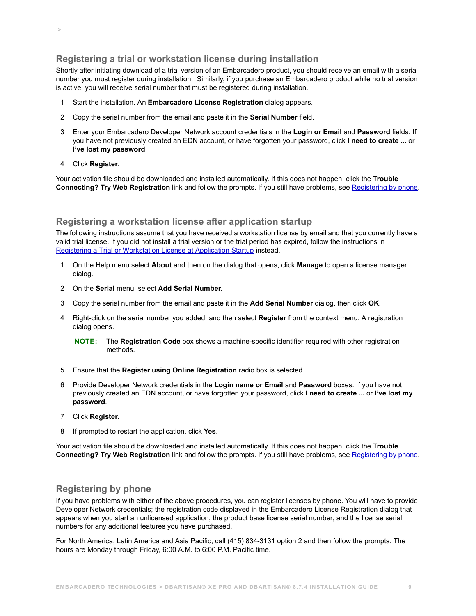## <span id="page-8-0"></span>**Registering a trial or workstation license during installation**

Shortly after initiating download of a trial version of an Embarcadero product, you should receive an email with a serial number you must register during installation. Similarly, if you purchase an Embarcadero product while no trial version is active, you will receive serial number that must be registered during installation.

- 1 Start the installation. An **Embarcadero License Registration** dialog appears.
- 2 Copy the serial number from the email and paste it in the **Serial Number** field.
- 3 Enter your Embarcadero Developer Network account credentials in the **Login or Email** and **Password** fields. If you have not previously created an EDN account, or have forgotten your password, click **I need to create ...** or **I've lost my password**.
- 4 Click **Register**.

 **>** 

Your activation file should be downloaded and installed automatically. If this does not happen, click the **Trouble Connecting? Try Web Registration** link and follow the prompts. If you still have problems, see [Registering by phone.](#page-8-2)

### <span id="page-8-1"></span>**Registering a workstation license after application startup**

The following instructions assume that you have received a workstation license by email and that you currently have a valid trial license. If you did not install a trial version or the trial period has expired, follow the instructions in [Registering a Trial or Workstation License at Application Startup](#page-8-0) instead.

- 1 On the Help menu select **About** and then on the dialog that opens, click **Manage** to open a license manager dialog.
- 2 On the **Serial** menu, select **Add Serial Number**.
- 3 Copy the serial number from the email and paste it in the **Add Serial Number** dialog, then click **OK**.
- 4 Right-click on the serial number you added, and then select **Register** from the context menu. A registration dialog opens.

**NOTE:** The **Registration Code** box shows a machine-specific identifier required with other registration methods.

- 5 Ensure that the **Register using Online Registration** radio box is selected.
- 6 Provide Developer Network credentials in the **Login name or Email** and **Password** boxes. If you have not previously created an EDN account, or have forgotten your password, click **I need to create ...** or **I've lost my password**.
- 7 Click **Register**.
- 8 If prompted to restart the application, click **Yes**.

Your activation file should be downloaded and installed automatically. If this does not happen, click the **Trouble Connecting? Try Web Registration** link and follow the prompts. If you still have problems, see [Registering by phone.](#page-8-2)

### <span id="page-8-2"></span>**Registering by phone**

If you have problems with either of the above procedures, you can register licenses by phone. You will have to provide Developer Network credentials; the registration code displayed in the Embarcadero License Registration dialog that appears when you start an unlicensed application; the product base license serial number; and the license serial numbers for any additional features you have purchased.

For North America, Latin America and Asia Pacific, call (415) 834-3131 option 2 and then follow the prompts. The hours are Monday through Friday, 6:00 A.M. to 6:00 P.M. Pacific time.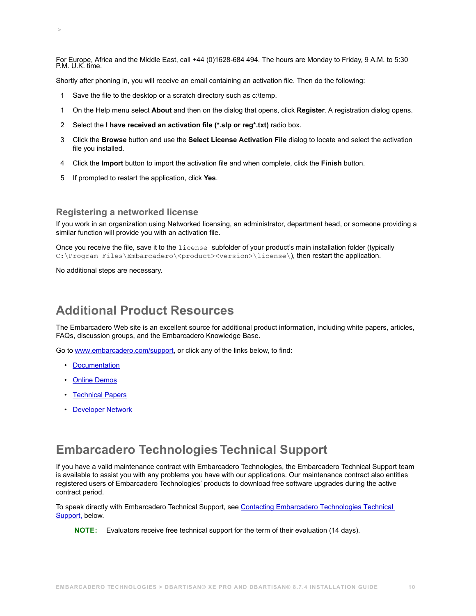For Europe, Africa and the Middle East, call +44 (0)1628-684 494. The hours are Monday to Friday, 9 A.M. to 5:30 P.M. U.K. time.

Shortly after phoning in, you will receive an email containing an activation file. Then do the following:

- 1 Save the file to the desktop or a scratch directory such as c:\temp.
- 1 On the Help menu select **About** and then on the dialog that opens, click **Register**. A registration dialog opens.
- 2 Select the **I have received an activation file (\*.slp or reg\*.txt)** radio box.
- 3 Click the **Browse** button and use the **Select License Activation File** dialog to locate and select the activation file you installed.
- 4 Click the **Import** button to import the activation file and when complete, click the **Finish** button.
- 5 If prompted to restart the application, click **Yes**.

### <span id="page-9-0"></span>**Registering a networked license**

If you work in an organization using Networked licensing, an administrator, department head, or someone providing a similar function will provide you with an activation file.

Once you receive the file, save it to the license subfolder of your product's main installation folder (typically C:\Program Files\Embarcadero\<product><version>\license\), then restart the application.

No additional steps are necessary.

 **>** 

# <span id="page-9-3"></span><span id="page-9-1"></span>**Additional Product Resources**

The Embarcadero Web site is an excellent source for additional product information, including white papers, articles, FAQs, discussion groups, and the Embarcadero Knowledge Base.

Go to [www.embarcadero.com/support](http://www.embarcadero.com/support/), or click any of the links below, to find:

- [Documentation](http://docs.embarcadero.com)
- [Online Demos](http://www.embarcadero.com/resources/demos)
- [Technical Papers](http://www.embarcadero.com/resources/technical-papers)
- <span id="page-9-4"></span>• [Developer Network](http://edn.embarcadero.com)

# <span id="page-9-2"></span>**Embarcadero Technologies Technical Support**

If you have a valid maintenance contract with Embarcadero Technologies, the Embarcadero Technical Support team is available to assist you with any problems you have with our applications. Our maintenance contract also entitles registered users of Embarcadero Technologies' products to download free software upgrades during the active contract period.

To speak directly with Embarcadero Technical Support, see [Contacting Embarcadero Technologies Technical](#page-10-0)  [Support,](#page-10-0) below.

**NOTE:** Evaluators receive free technical support for the term of their evaluation (14 days).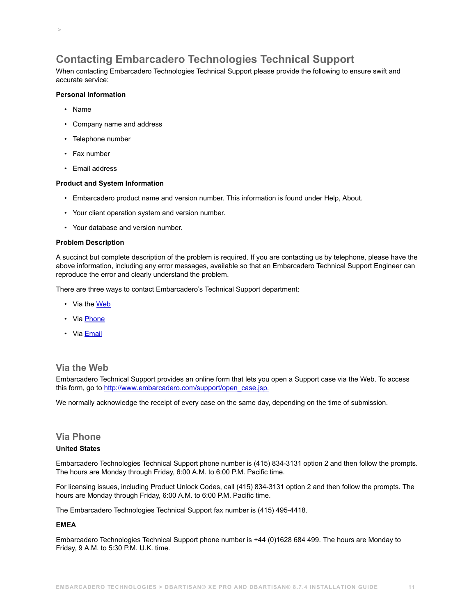# <span id="page-10-0"></span>**Contacting Embarcadero Technologies Technical Support**

When contacting Embarcadero Technologies Technical Support please provide the following to ensure swift and accurate service:

### **Personal Information**

• Name

 **>** 

- Company name and address
- Telephone number
- Fax number
- Email address

#### **Product and System Information**

- Embarcadero product name and version number. This information is found under Help, About.
- Your client operation system and version number.
- Your database and version number.

#### **Problem Description**

A succinct but complete description of the problem is required. If you are contacting us by telephone, please have the above information, including any error messages, available so that an Embarcadero Technical Support Engineer can reproduce the error and clearly understand the problem.

There are three ways to contact Embarcadero's Technical Support department:

- Via the [Web](#page-10-1)
- Via [Phone](#page-10-2)
- Via **[Email](#page-11-0)**

### <span id="page-10-1"></span>**Via the Web**

Embarcadero Technical Support provides an online form that lets you open a Support case via the Web. To access this form, go to [http://www.embarcadero.com/support/open\\_case.jsp.](http://www.embarcadero.com/support/open_case.jsp)

We normally acknowledge the receipt of every case on the same day, depending on the time of submission.

## <span id="page-10-2"></span>**Via Phone**

### **United States**

Embarcadero Technologies Technical Support phone number is (415) 834-3131 option 2 and then follow the prompts. The hours are Monday through Friday, 6:00 A.M. to 6:00 P.M. Pacific time.

For licensing issues, including Product Unlock Codes, call (415) 834-3131 option 2 and then follow the prompts. The hours are Monday through Friday, 6:00 A.M. to 6:00 P.M. Pacific time.

The Embarcadero Technologies Technical Support fax number is (415) 495-4418.

#### **EMEA**

Embarcadero Technologies Technical Support phone number is +44 (0)1628 684 499. The hours are Monday to Friday, 9 A.M. to 5:30 P.M. U.K. time.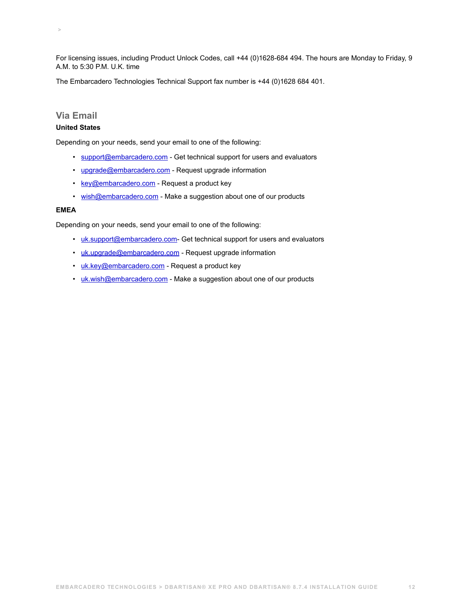For licensing issues, including Product Unlock Codes, call +44 (0)1628-684 494. The hours are Monday to Friday, 9 A.M. to 5:30 P.M. U.K. time

The Embarcadero Technologies Technical Support fax number is +44 (0)1628 684 401.

### <span id="page-11-0"></span>**Via Email**

 **>** 

#### **United States**

Depending on your needs, send your email to one of the following:

- [support@embarcadero.com](mailto:support@embarcadero.com?subject=Technical Support Request)  Get technical support for users and evaluators
- [upgrade@embarcadero.com](mailto:upgrade@embarcadero.com?subject=Upgrade Information Request)  Request upgrade information
- [key@embarcadero.com](mailto:key@embarcadero.com?subject=Key Request)  Request a product key
- [wish@embarcadero.com](mailto:wish@embarcadero.com?subject=Product Suggestion)  Make a suggestion about one of our products

### **EMEA**

Depending on your needs, send your email to one of the following:

- [uk.support@embarcadero.com-](mailto:uk.support@embarcadero.com?subject=Technical Support Request) Get technical support for users and evaluators
- [uk.upgrade@embarcadero.com](mailto:uk.upgrade@embarcadero.com?subject=Upgrade Information Request)  Request upgrade information
- [uk.key@embarcadero.com](mailto:uk.key@embarcadero.com?subject=Key Request)  Request a product key
- [uk.wish@embarcadero.com](mailto:uk.wish@embarcadero.com?subject=Product Suggestion)  Make a suggestion about one of our products